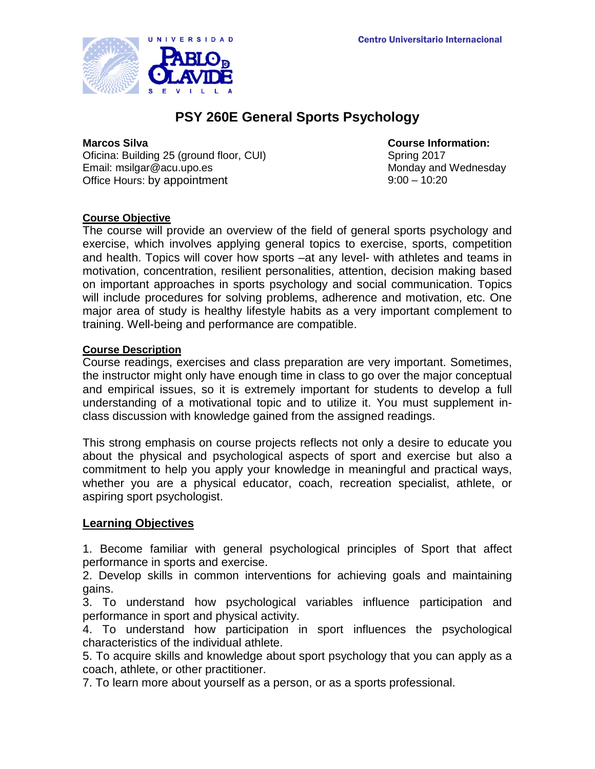

# **PSY 260E General Sports Psychology**

Oficina: Building 25 (ground floor, CUI) Email: msilgar@acu.upo.es Monday and Wednesday Office Hours: by appointment 9:00 – 10:20

**Marcos Silva**<br> **Course Information:**<br> **Course Information:**<br> **Course Information:**<br> **Course Information:** 

### **Course Objective**

The course will provide an overview of the field of general sports psychology and exercise, which involves applying general topics to exercise, sports, competition and health. Topics will cover how sports –at any level- with athletes and teams in motivation, concentration, resilient personalities, attention, decision making based on important approaches in sports psychology and social communication. Topics will include procedures for solving problems, adherence and motivation, etc. One major area of study is healthy lifestyle habits as a very important complement to training. Well-being and performance are compatible.

#### **Course Description**

Course readings, exercises and class preparation are very important. Sometimes, the instructor might only have enough time in class to go over the major conceptual and empirical issues, so it is extremely important for students to develop a full understanding of a motivational topic and to utilize it. You must supplement inclass discussion with knowledge gained from the assigned readings.

This strong emphasis on course projects reflects not only a desire to educate you about the physical and psychological aspects of sport and exercise but also a commitment to help you apply your knowledge in meaningful and practical ways, whether you are a physical educator, coach, recreation specialist, athlete, or aspiring sport psychologist.

## **Learning Objectives**

1. Become familiar with general psychological principles of Sport that affect performance in sports and exercise.

2. Develop skills in common interventions for achieving goals and maintaining gains.

3. To understand how psychological variables influence participation and performance in sport and physical activity.

4. To understand how participation in sport influences the psychological characteristics of the individual athlete.

5. To acquire skills and knowledge about sport psychology that you can apply as a coach, athlete, or other practitioner.

7. To learn more about yourself as a person, or as a sports professional.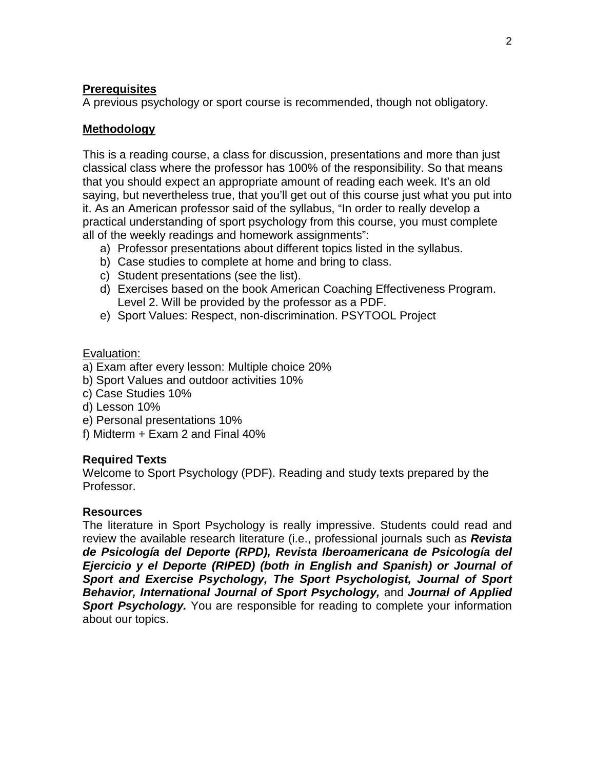## **Prerequisites**

A previous psychology or sport course is recommended, though not obligatory.

#### **Methodology**

This is a reading course, a class for discussion, presentations and more than just classical class where the professor has 100% of the responsibility. So that means that you should expect an appropriate amount of reading each week. It's an old saying, but nevertheless true, that you'll get out of this course just what you put into it. As an American professor said of the syllabus, "In order to really develop a practical understanding of sport psychology from this course, you must complete all of the weekly readings and homework assignments":

- a) Professor presentations about different topics listed in the syllabus.
- b) Case studies to complete at home and bring to class.
- c) Student presentations (see the list).
- d) Exercises based on the book American Coaching Effectiveness Program. Level 2. Will be provided by the professor as a PDF.
- e) Sport Values: Respect, non-discrimination. PSYTOOL Project

#### Evaluation:

- a) Exam after every lesson: Multiple choice 20%
- b) Sport Values and outdoor activities 10%
- c) Case Studies 10%
- d) Lesson 10%
- e) Personal presentations 10%
- f) Midterm + Exam 2 and Final 40%

## **Required Texts**

Welcome to Sport Psychology (PDF). Reading and study texts prepared by the Professor.

## **Resources**

The literature in Sport Psychology is really impressive. Students could read and review the available research literature (i.e., professional journals such as *Revista de Psicología del Deporte (RPD), Revista Iberoamericana de Psicología del Ejercicio y el Deporte (RIPED) (both in English and Spanish) or Journal of Sport and Exercise Psychology, The Sport Psychologist, Journal of Sport Behavior, International Journal of Sport Psychology,* and *Journal of Applied*  **Sport Psychology.** You are responsible for reading to complete your information about our topics.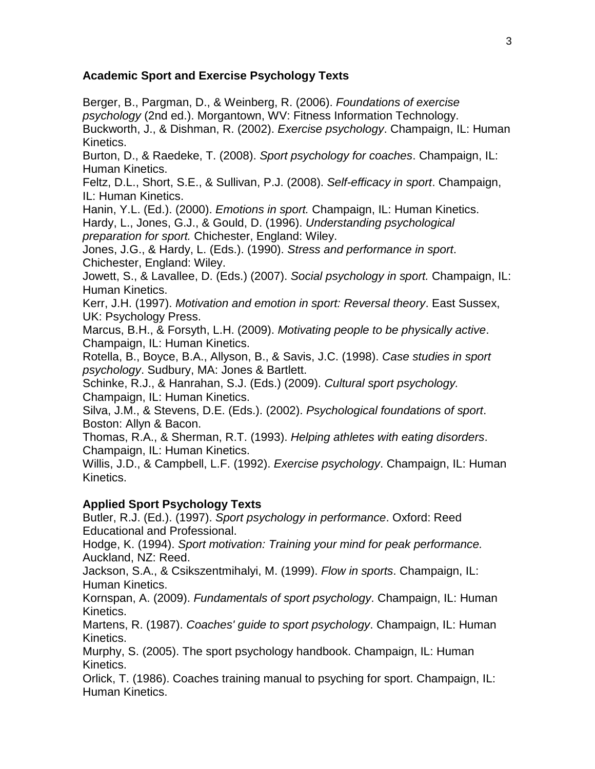## **Academic Sport and Exercise Psychology Texts**

Berger, B., Pargman, D., & Weinberg, R. (2006). *Foundations of exercise psychology* (2nd ed.). Morgantown, WV: Fitness Information Technology. Buckworth, J., & Dishman, R. (2002). *Exercise psychology*. Champaign, IL: Human Kinetics.

Burton, D., & Raedeke, T. (2008). *Sport psychology for coaches*. Champaign, IL: Human Kinetics.

Feltz, D.L., Short, S.E., & Sullivan, P.J. (2008). *Self-efficacy in sport*. Champaign, IL: Human Kinetics.

Hanin, Y.L. (Ed.). (2000). *Emotions in sport.* Champaign, IL: Human Kinetics.

Hardy, L., Jones, G.J., & Gould, D. (1996). *Understanding psychological preparation for sport.* Chichester, England: Wiley.

Jones, J.G., & Hardy, L. (Eds.). (1990). *Stress and performance in sport*. Chichester, England: Wiley.

Jowett, S., & Lavallee, D. (Eds.) (2007). *Social psychology in sport.* Champaign, IL: Human Kinetics.

Kerr, J.H. (1997). *Motivation and emotion in sport: Reversal theory*. East Sussex, UK: Psychology Press.

Marcus, B.H., & Forsyth, L.H. (2009). *Motivating people to be physically active*. Champaign, IL: Human Kinetics.

Rotella, B., Boyce, B.A., Allyson, B., & Savis, J.C. (1998). *Case studies in sport psychology*. Sudbury, MA: Jones & Bartlett.

Schinke, R.J., & Hanrahan, S.J. (Eds.) (2009). *Cultural sport psychology.* Champaign, IL: Human Kinetics.

Silva, J.M., & Stevens, D.E. (Eds.). (2002). *Psychological foundations of sport*. Boston: Allyn & Bacon.

Thomas, R.A., & Sherman, R.T. (1993). *Helping athletes with eating disorders*. Champaign, IL: Human Kinetics.

Willis, J.D., & Campbell, L.F. (1992). *Exercise psychology*. Champaign, IL: Human Kinetics.

## **Applied Sport Psychology Texts**

Butler, R.J. (Ed.). (1997). *Sport psychology in performance*. Oxford: Reed Educational and Professional.

Hodge, K. (1994). *Sport motivation: Training your mind for peak performance.* Auckland, NZ: Reed.

Jackson, S.A., & Csikszentmihalyi, M. (1999). *Flow in sports*. Champaign, IL: Human Kinetics.

Kornspan, A. (2009). *Fundamentals of sport psychology*. Champaign, IL: Human Kinetics.

Martens, R. (1987). *Coaches' guide to sport psychology*. Champaign, IL: Human Kinetics.

Murphy, S. (2005). The sport psychology handbook. Champaign, IL: Human Kinetics.

Orlick, T. (1986). Coaches training manual to psyching for sport. Champaign, IL: Human Kinetics.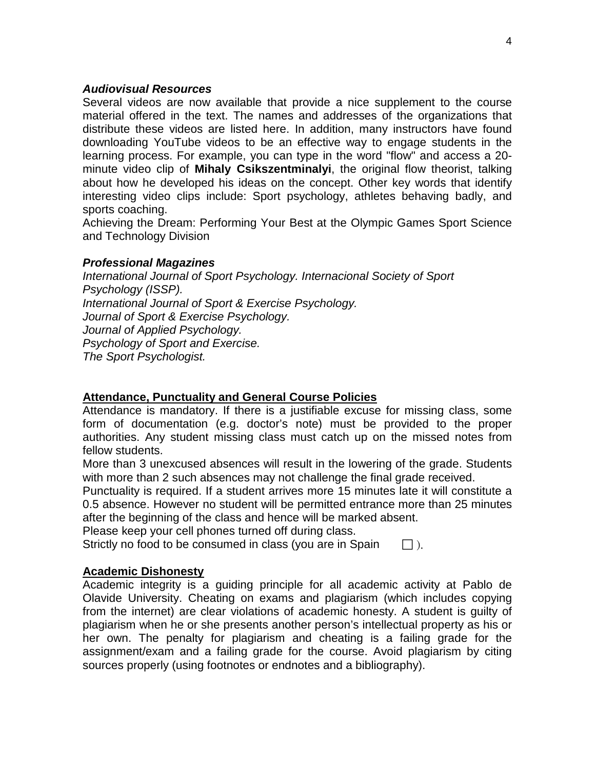#### *Audiovisual Resources*

Several videos are now available that provide a nice supplement to the course material offered in the text. The names and addresses of the organizations that distribute these videos are listed here. In addition, many instructors have found downloading YouTube videos to be an effective way to engage students in the learning process. For example, you can type in the word "flow" and access a 20 minute video clip of **Mihaly Csikszentminalyi**, the original flow theorist, talking about how he developed his ideas on the concept. Other key words that identify interesting video clips include: Sport psychology, athletes behaving badly, and sports coaching.

Achieving the Dream: Performing Your Best at the Olympic Games Sport Science and Technology Division

### *Professional Magazines*

*International Journal of Sport Psychology. Internacional Society of Sport Psychology (ISSP). International Journal of Sport & Exercise Psychology. Journal of Sport & Exercise Psychology. Journal of Applied Psychology. Psychology of Sport and Exercise. The Sport Psychologist.*

## **Attendance, Punctuality and General Course Policies**

Attendance is mandatory. If there is a justifiable excuse for missing class, some form of documentation (e.g. doctor's note) must be provided to the proper authorities. Any student missing class must catch up on the missed notes from fellow students.

More than 3 unexcused absences will result in the lowering of the grade. Students with more than 2 such absences may not challenge the final grade received.

Punctuality is required. If a student arrives more 15 minutes late it will constitute a 0.5 absence. However no student will be permitted entrance more than 25 minutes after the beginning of the class and hence will be marked absent.

Please keep your cell phones turned off during class.

Strictly no food to be consumed in class (you are in Spain  $\Box$ ).

## **Academic Dishonesty**

Academic integrity is a guiding principle for all academic activity at Pablo de Olavide University. Cheating on exams and plagiarism (which includes copying from the internet) are clear violations of academic honesty. A student is guilty of plagiarism when he or she presents another person's intellectual property as his or her own. The penalty for plagiarism and cheating is a failing grade for the assignment/exam and a failing grade for the course. Avoid plagiarism by citing sources properly (using footnotes or endnotes and a bibliography).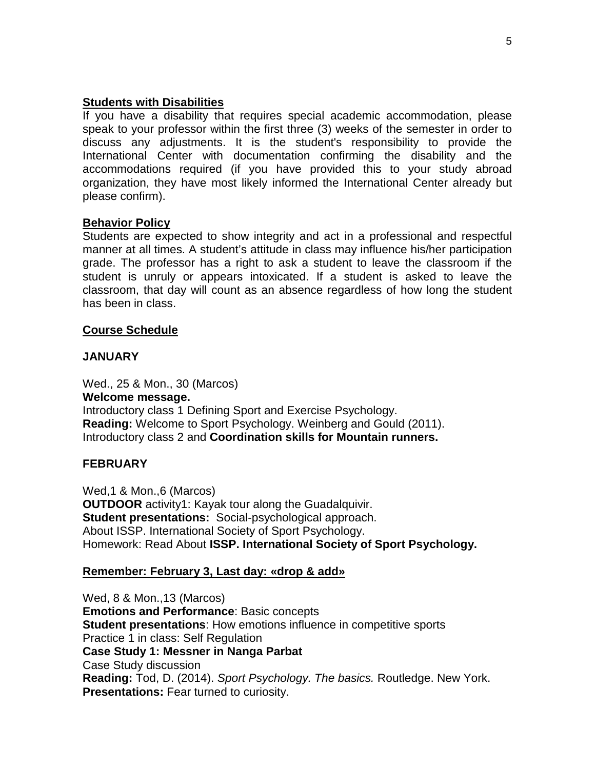### **Students with Disabilities**

If you have a disability that requires special academic accommodation, please speak to your professor within the first three (3) weeks of the semester in order to discuss any adjustments. It is the student's responsibility to provide the International Center with documentation confirming the disability and the accommodations required (if you have provided this to your study abroad organization, they have most likely informed the International Center already but please confirm).

### **Behavior Policy**

Students are expected to show integrity and act in a professional and respectful manner at all times. A student's attitude in class may influence his/her participation grade. The professor has a right to ask a student to leave the classroom if the student is unruly or appears intoxicated. If a student is asked to leave the classroom, that day will count as an absence regardless of how long the student has been in class.

### **Course Schedule**

## **JANUARY**

Wed., 25 & Mon., 30 (Marcos) **Welcome message.**  Introductory class 1 Defining Sport and Exercise Psychology. **Reading:** Welcome to Sport Psychology. Weinberg and Gould (2011). Introductory class 2 and **Coordination skills for Mountain runners.**

## **FEBRUARY**

Wed,1 & Mon.,6 (Marcos) **OUTDOOR** activity1: Kayak tour along the Guadalquivir. **Student presentations:** Social-psychological approach. About ISSP. International Society of Sport Psychology. Homework: Read About **ISSP. International Society of Sport Psychology.**

#### **Remember: February 3, Last day: «drop & add»**

Wed, 8 & Mon.,13 (Marcos) **Emotions and Performance**: Basic concepts **Student presentations**: How emotions influence in competitive sports Practice 1 in class: Self Regulation **Case Study 1: Messner in Nanga Parbat** Case Study discussion **Reading:** Tod, D. (2014). *Sport Psychology. The basics.* Routledge. New York. **Presentations:** Fear turned to curiosity.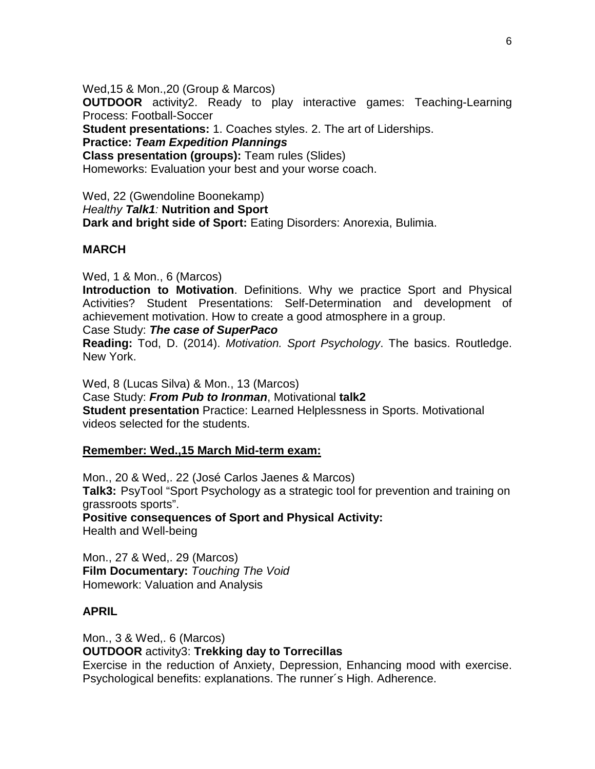Wed,15 & Mon.,20 (Group & Marcos) **OUTDOOR** activity2. Ready to play interactive games: Teaching-Learning Process: Football-Soccer **Student presentations:** 1. Coaches styles. 2. The art of Liderships. **Practice:** *Team Expedition Plannings* **Class presentation (groups):** Team rules (Slides) Homeworks: Evaluation your best and your worse coach.

Wed, 22 (Gwendoline Boonekamp) *Healthy Talk1:* **Nutrition and Sport Dark and bright side of Sport:** Eating Disorders: Anorexia, Bulimia.

### **MARCH**

Wed, 1 & Mon., 6 (Marcos)

**Introduction to Motivation**. Definitions. Why we practice Sport and Physical Activities? Student Presentations: Self-Determination and development of achievement motivation. How to create a good atmosphere in a group.

Case Study: *The case of SuperPaco*

**Reading:** Tod, D. (2014). *Motivation. Sport Psychology*. The basics. Routledge. New York.

Wed, 8 (Lucas Silva) & Mon., 13 (Marcos) Case Study: *From Pub to Ironman*, Motivational **talk2 Student presentation** Practice: Learned Helplessness in Sports. Motivational videos selected for the students.

#### **Remember: Wed.,15 March Mid-term exam:**

Mon., 20 & Wed,. 22 (José Carlos Jaenes & Marcos) **Talk3:** PsyTool "Sport Psychology as a strategic tool for prevention and training on grassroots sports". **Positive consequences of Sport and Physical Activity:**

Health and Well-being

Mon., 27 & Wed,. 29 (Marcos) **Film Documentary:** *Touching The Void* Homework: Valuation and Analysis

## **APRIL**

Mon., 3 & Wed,. 6 (Marcos) **OUTDOOR** activity3: **Trekking day to Torrecillas** Exercise in the reduction of Anxiety, Depression, Enhancing mood with exercise. Psychological benefits: explanations. The runner´s High. Adherence.